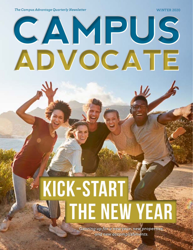*The Campus Advantage Quarterly Newsletter* WINTER 2020

# **CAMPUS ADVOCATE**

# **THE NEW YEAR** KICK-START

*Gearing up for a new year, new properties, and new accomplishments.*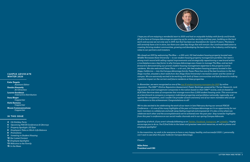#### **CAMPUS ADVOCATE WINTER 2020**

**Katie Degutis** *Assistant Editor*

**Kendra Kennedy** *Art Direction* 

**Lauren Goodman**

*Interactive Distribution*

**Dana Sleger** 

*Copywriter* **Katie Zarzana**

*Copywriter* **Bloom Communications**

*Copywriter*

*I hope you all are enjoying a wonderful start to 2020 and had an enjoyable holiday with family and friends. All of us here at Campus Advantage are gearing up for another exciting and busy year, building on the hard work and success we not only saw in 2019, but that has been our foundation for nearly 17 years. The future will certainly have a lot in store, but there are a few key things that will remain: Our continued dedication to creating thriving student communities, growing and developing the best talent in the industry, and bringing value to our partners and investors.* 

*We closed out 2019 by welcoming The Blue — a 200-unit, 512-bed student housing property located near Middle Tennessee State University — to our student housing property management portfolio. Our team's strong track record with selling capital improvements and strategically repositioning a new brand within a marketplace was a key factor to why Campus Advantage was chosen to manage The Blue, and we look forward to demonstrating our proven student housing management expertise to this property and its residents. We also welcomed Paseo Place — a 46-unit, 246-bed student housing property located in San Diego, California — into the Campus Advantage family. Paseo Place has one of the best locations in the San Diego market, situated a short walk from San Diego State University's recreation center and the center of campus. We are extremely excited to be working with both of these communities and look forward to making a positive impact on the current and future residents at these properties.*

*In November, we were recognized as one of th[e top 10 student housing managers for 2019](https://www.multifamilyexecutive.com/property-management/the-top-10-student-housing-managers-for-2019-by-online-reputation_o) by online reputation. The ORATM (Online Reputation Assessment) Power Rankings, powered by J Turner Research, rank top properties and management companies in the nation based on their ORATM scores, and are based on ALN Data Services data of companies that manage more than 2,000 student housing units. This score serves as a benchmark to compare a company's individual properties and portfolios nationally, regionally, and against the competition, and I couldn't be prouder of each and every one of our team members who are all contributors to this achievement. Congratulations to all!*

*We're also excited to be celebrating the work of our team in late February during our annual FOCUS Conference — it's one of the many highlights of the year at Campus Advantage as it's an opportunity for our team members to collaborate and walk away feeling inspired and empowered. It's also a time where we celebrate each other and the accomplishments we've achieved over the past year. Stay tuned for highlights from this year's conference on our social media channels and in our spring Campus Advocate.*

*Speaking of which, if you aren't already following us on [Twitter](https://twitter.com/CampusAdvantage), [Facebook](https://www.facebook.com/campusadvantage), [Instagram,](https://www.instagram.com/campusadvantage/) or [LinkedIn](https://www.linkedin.com/company/44046/admin/), I highly encourage you to do so. You'll find links to the latest and greatest news and resources, as well as photos and employee spotlights!* 

*In the meantime, my wish is for everyone to have a very happy, healthy, and successful 2020. I, personally, can't wait to see what this year holds for Campus Advantage.*

*Cheers!* 

**Mike Peter President and CEO**

#### **IN THIS ISSUE**

**4** *CA Holiday Party* **6** *Upcoming FOCUS Conference & CAmmys* **7** *Property Spotlight: 212 East*

**8** *Employee's Take on Work-Life Balance*

**8** *Promotions*

**9** *Investing in Student Housing*

**10** *Our Latest Content*

**12** *Employee Spotlights*

**13** *Welcome to the Family*

**15** *In the News*

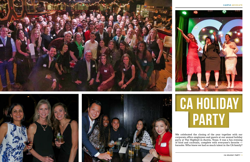







We celebrated the closing of the year together with our corporate office employees and guests at our annual holiday party at The Highball in Austin, Texas. It was a fun evening of food and cocktails, complete with everyone's favorite karaoke. Who knew we had so much talent in the CA family?



# PARTy CA Holiday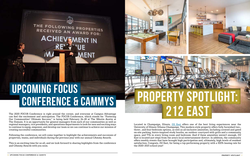The 2020 FOCUS Conference is right around the corner, and everyone at Campus Advantage can feel the excitement and anticipation. The FOCUS Conference, which stands for "Fostering Our Communities' Ultimate Success," is being held February 24–28 at The Westin Austin at The Domain. It is an opportunity for general managers from each of our communities as well as regional managers, vice presidents, and operations departments to look for new and exciting ways to continue to equip, empower, and develop our team so we can continue to achieve our mission of creating successful communities.

Following the conference, we will come together to highlight the achievements and successes of properties, teams, and individuals during the previous year with our annual CAmmy Awards.

This is an exciting time for us all, and we look forward to sharing highlights from the conference and CAmmy Awards with you soon.



THE FOLLOWING PROPERTIES<br>RECEIVED AN AWARD FOR:

**ACHIEV MENT IN** 

MENT

# 一体量

## 212 east property spotlight:

Located in Champaign, Illinois, [212 East](https://www.212east.com/) offers one of the best living experiences near the University of Illinois Urbana-Champaign. This modern-style property offers fully furnished two-, three-, and four-bedroom options, as well as all-inclusive amenities, including covered and gated on-site parking, bistro-inspired study booths, an outdoor courtyard with grills and a community space, and TVs in every living room and bedroom. And if these amenities weren't enough, 212 East is located just steps from the area's local entertainment district. In addition, the community offers weekly events that have brought high participation and, ultimately, high levels of resident satisfaction. Congrats, 212 East, for being a top-performing property with a 100% leasing rate for the 2020–2021 school year!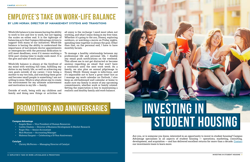Work-life balance to me means having the ability to work to live and live to work, but not tipping the scales on either end. It is the tightrope of balancing acts that Campus Advantage strives to support with many of our initiatives. Work-life balance is having the ability to understand the importance of last-minute doctor appointments or emergencies with the personal dedication to still meet deadlines, even if it means working a little past closing time to make ends meet. It is the give and take of work and life.

Work-life balance is always at the forefront of my mind with working full time, fulfilling my duties in my family life, as well as achieving my own goals outside of my career. I love being a mother to my two kids, and watching them grow and become small people is something I am not willing to miss. Work is what allows me to create the environment for my ultimate achievement and motivation in my life — family.

Outside of work, being with my children and family and doing new things or activities we

all enjoy is the recharge I need most when not working, and what I enjoy doing in my free time. Whether it's going to the zoo, Disney, exploring outdoors, or watching a movie on Friday nights, spending time together is always the goal. Other than that, on the personal end, I have to have monthly facials.

To manage a healthy relationship between my professional life and personal life, I disable any email push notifications on the weekend. This allows me to not get distracted or become anxious regarding an email that won't have a resolution until the next work week. As a family, we also plan an annual pilgrimage to Disney World. Disney magic is infectious, and it's impossible not to have a great time! Just as I manage my work calendar on Outlook, I also keep an old-fashioned wall calendar at home to make sure my family is aware of any upcoming commitments, whether work or family related. Setting the expectation is key to maintaining a realistic and healthy family and work balance.

### Employee's Take on Work-Life Balance

#### **BY LORI MORAN, DIRECTOR OF MANAGEMENT SYSTEMS AND TRANSITIONS**



Are you, or is someone you know, interested in an opportunity to invest in student housing? Campus Advantage specializes in all aspects of student housing — operations, marketing, consulting, development, and acquisition — and has delivered excellent returns for more than a decade. [Contact](mailto:investments@campusadv.com) our investments team to learn more.

## Promotions and ANNIVERSARIES

#### **Campus Advantage**

- Angela Shaw Vice President of Human Resources
- Caitlin Chalem Director of Business Development & Market Research
- Roger Hsu Senior Accountant
- Nick Nunium Accounting Manager
- Makenzi Sargent Celebrating a 10-Year Anniversary

#### **Catalyst**

• Christy McFerren — Managing Director of Catalyst

# STUDENT HOUSING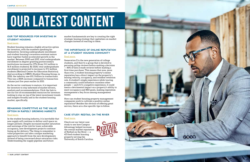# OUR LATEST CONTENT

#### **OUR TOP RESOURCES FOR INVESTING IN STUDENT HOUSING**

#### Read mor[e.](https://campusadv.com/our-top-resources-for-investing-in-student-housing/)

Student housing remains a highly attractive option for investors, with the numbers speaking for themselves. Growing undergraduate enrollment and student housing's recession-resistant nature have together fueled accelerated growth in the market. Between 2000 and 2017, total undergraduate enrollment in degree-granting postsecondary institutions increased by 27% (from 13.2 million to 16.8 million students). By 2028, total undergraduate enrollment is projected to increase to 17.2 million students (National Center for Education Statistics). And according to CBRE's Student Housing Group, in 2018, the industry saw \$11.2 billion in transactions. This was a 286% increase compared to transaction volume just five years earlier in 2013.

As the sector continues to mature, it is important for investors to stay informed of market drivers, analysis and recommendations. Click the link to see our list of recommended resources for investors looking to stay on top of the latest investment trends and insights broadly and in the student housing market, specifically.

#### **REMAINING COMPETITIVE AS THE VALUE OPTION IN RAPIDLY GROWING MARKETS**

#### Read mor[e.](https://campusadv.com/remaining-competitive-as-the-value-option-in-rapidly-growing-markets/)

In the student housing industry, it is inevitable that new supply will continue to deliver until space no longer permits. Despite increased market saturation and warnings of the risk for lower achievable occupancy, new development projects continue lining up for delivery. The thing to remember is value properties can take a unique marketing approach to benefit from the new developments instead of being concerned about saturation risks. Understanding the supply pipeline and future

market fundamentals are key to creating the right strategic leasing strategy that capitalizes on market changes instead of reacting to them.

#### **THE IMPORTANCE OF ONLINE REPUTATION AT A STUDENT HOUSING COMMUNITY**

#### [Read more.](https://campusadv.com/the-importance-of-online-reputation-at-a-student-housing-community/)

Generation Z is the new generation of college students, and they're a group that is devoted to perusing online reviews before making a decision — 86% of Gen Z reads reviews before making a first-time purchase. This means that now, more than ever, a student housing property's online reputation has a direct impact on the property's leasing velocity, occupancy, and resident retention rate. A student's single experience while touring a community could influence countless other people — and if it's a negative experience, it could mean a detrimental impact on a property's ability to meet occupancy and NOI goals, making reputation management a key focus among management teams.

How can student housing property management companies work to cultivate a positive online reputation? Besides the obvious of offering great service, there are a few specific tips to follow.

#### **CASE STUDY: REDTAIL ON THE RIVER**

#### [Read more.](https://campusadv.com/project/redtail-on-the-river/)

Check out our latest case study to see how Campus Advantage helped increase the overall market reputation of Redtail on the River — a 472-bed student housing property serving the University of South Carolina.



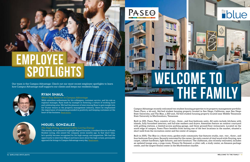Campus Advantage recently welcomed two student housing properties to its property management portfolio: Paseo Place, a 46-unit, 246-bed student housing property located in San Diego, California, near San Diego State University; and The Blue, a 200-unit, 512-bed student housing property located near Middle Tennessee State University in Murfreesboro, Tennessee.

 $PASE\Theta$ 

Built in 2011, Paseo Place consists of two-, three-, and four-bedroom units. All units include kitchens with islands, fully furnished interiors, and full-size washers and dryers. Amenities feature an outdoor courtyard with grilling stations, a limited-access parking garage, and three ground-floor restaurants. Located on the south edge of campus, Paseo Place benefits from having one of the best locations in the market, situated a short walk from the recreation center and the center of campus.

Built in 2005, The Blue is a three-story, garden-style community that features studio, one-, two-, three-, and four-bedroom floor plans. Recently renovated by the owner, the units consist of vinyl wood-style flooring, new carpet, cabinet hardware, light fixtures, and new furniture. The clubhouse, also recently renovated, includes an updated lounge area, a yoga room, Fitness On Demand, a cyber café, a study center, an Amazon package center, and the largest fitness center in the Murfreesboro market.



## **EMPLOYEE SPOTLIGHTS**

Our team is the Campus Advantage. Check out our most recent employee spotlights to learn how Campus Advantage staff supports our clients and keeps our residents happy.



#### **RYAN SHAUL**

#### *Won't Stop Believin' in Campus Advantage*

With relentless enthusiasm for his colleagues, customer service, and his role as regional manager, Ryan leads by example in fostering a culture of working hard and celebrating wins. We had the pleasure of interviewing Ryan to gain insight into his 13-year tenure in the property management industry, where he emphasized the importance of remaining grounded in positivity and keeping customers at the heart of the business. [Read more.](https://campusadv.com/employee-spotlight-ryan-shaul-wont-stop-believin-in-campus-advantage/)



#### **MIGUEL GONZALEZ**

#### *His High-Fiving, Caramel Coffee-Loving Energy*

This month, we're pleased to highlight Miguel Gonzalez, a resident director at Prado Student Living, who joined the company seven months ago. In that short time, he's quickly become recognized for his high energy and magnetism. We had the opportunity to interview Miguel and learn more about the high-octane, personable approach he brings to Campus Advantage every day. [Read more.](https://campusadv.com/employee-spotlight-miguel-gonzalez-his-high-fiving-caramel-coffee-loving-energy/)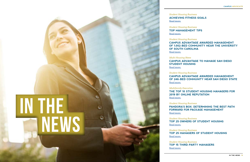*Student Housing Business* [Read more](https://editions.mydigitalpublication.com/publication/?i=627438&ver=html5&p=78).

**ACHIEVING FITNESS GOALS**

*Student Housing Business* [Read more](https://editions.mydigitalpublication.com/publication/?i=627438&ver=html5&p=52).

**TOP MANAGEMENT TIPS**

*Student Housing Business* [Read more](https://editions.mydigitalpublication.com/publication/?i=627438&ver=html5&p=14).

**CAMPUS ADVANTAGE AWARDED MANAGEMENT OF 1,002-BED COMMUNITY NEAR THE UNIVERSITY OF SOUTH CAROLINA**

*Multi-Housing News* **CAMPUS ADVANTAGE TO MANAGE SAN DIEGO** 

**STUDENT HOUSING** [Read more](https://www.multihousingnews.com/post/campus-advantage-to-manage-san-diego-student-housing/).

*Student Housing Business* **CAMPUS ADVANTAGE AWARDED MANAGEMENT** 

**OF 246-BED COMMUNITY NEAR SAN DIEGO STATE**

[Read more](https://www.studenthousingbusiness.com/campus-advantage-awarded-management-of-246-bed-community-near-san-diego-state/).

*Multifamily Executive* [Read more](https://www.multifamilyexecutive.com/property-management/the-top-10-student-housing-managers-for-2019-by-online-reputation_o).

**THE TOP 10 STUDENT HOUSING MANAGERS FOR 2019 BY ONLINE REPUTATION**

*Student Housing Business* [Read more](https://www.studenthousingbusiness.com/pandoras-box-determining-the-best-path-forward-for-package-management/).

**PANDORA'S BOX: DETERMINING THE BEST PATH FORWARD FOR PACKAGE MANAGEMENT**

*Student Housing Business* [Read more](https://editions.mydigitalpublication.com/publication/?i=642115&ver=html5&p=92).

**TOP 25 OWNERS OF STUDENT HOUSING**

*Student Housing Business* [Read more](https://editions.mydigitalpublication.com/publication/?i=642115&ver=html5&p=100).

**TOP 25 MANAGERS OF STUDENT HOUSING**

*Student Housing Business* [Read more](https://editions.mydigitalpublication.com/publication/?i=642115&ver=html5&p=100).

**TOP 15 THIRD-PARTY MANAGERS** 

# IN the news